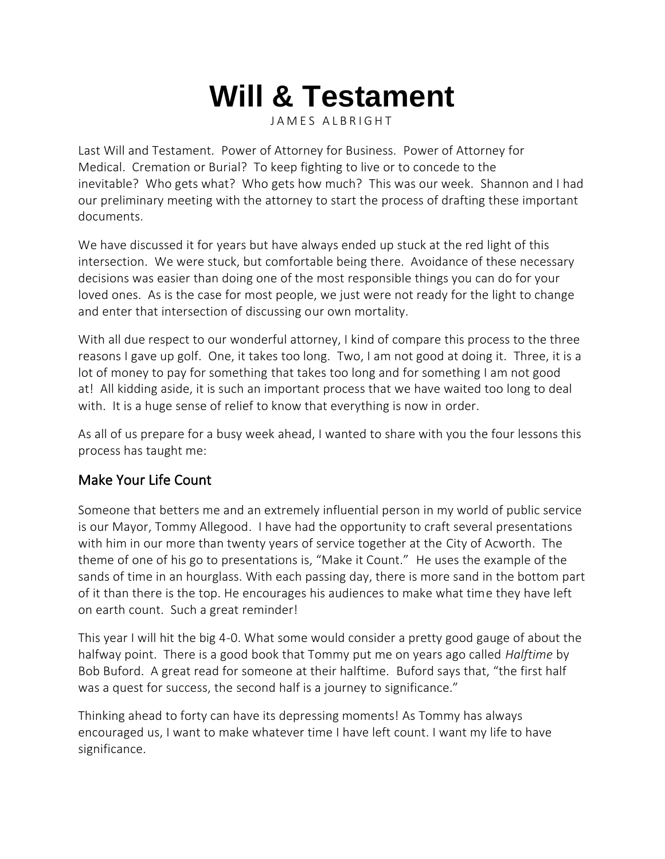# **Will & Testament**

JAMES ALBRIGHT

Last Will and Testament. Power of Attorney for Business. Power of Attorney for Medical. Cremation or Burial? To keep fighting to live or to concede to the inevitable? Who gets what? Who gets how much? This was our week. [Shannon](https://leadershipandmain.org/shannon/) and I had our preliminary meeting with the attorney to start the process of drafting these important documents.

We have discussed it for years but have always ended up stuck at the red light of this intersection. We were stuck, but comfortable being there. Avoidance of these necessary decisions was easier than doing one of the most responsible things you can do for your loved ones. As is the case for most people, we just were not ready for the light to change and enter that intersection of discussing our own mortality.

With all due respect to our wonderful attorney, I kind of compare this process to the three reasons I gave up golf. One, it takes too long. Two, I am not good at doing it. Three, it is a lot of money to pay for something that takes too long and for something I am not good at! All kidding aside, it is such an important process that we have waited too long to deal with. It is a huge sense of relief to know that everything is now in order.

As all of us prepare for a busy week ahead, I wanted to share with you the four lessons this process has taught me:

#### Make Your Life Count

Someone that betters me and an extremely influential person in my world of public service is our [Mayor, Tommy Allegood.](https://www.facebook.com/thomas.allegood) I have had the opportunity to craft several presentations with him in our more than twenty years of service together at the [City of Acworth.](https://acworthtourism.org/) The theme of one of his go to presentations is, "Make it Count." He uses the example of the sands of time in an hourglass. With each passing day, there is more sand in the bottom part of it than there is the top. He encourages his audiences to make what time they have left on earth count. Such a great reminder!

This year I will hit the big 4-0. What some would consider a pretty good gauge of about the halfway point. There is a good book that Tommy put me on years ago called *[Halftime](https://www.amazon.com/Halftime-Significance-Bob-P-Buford/dp/0310344441/ref=sr_1_1?dchild=1&keywords=halftime+bob&qid=1616977411&sr=8-1)* by Bob Buford. A great read for someone at their halftime. Buford says that, "the first half was a quest for success, the second half is a journey to significance."

Thinking ahead to forty can have its depressing moments! As Tommy has always encouraged us, I want to make whatever time I have left count. I want my life to have significance.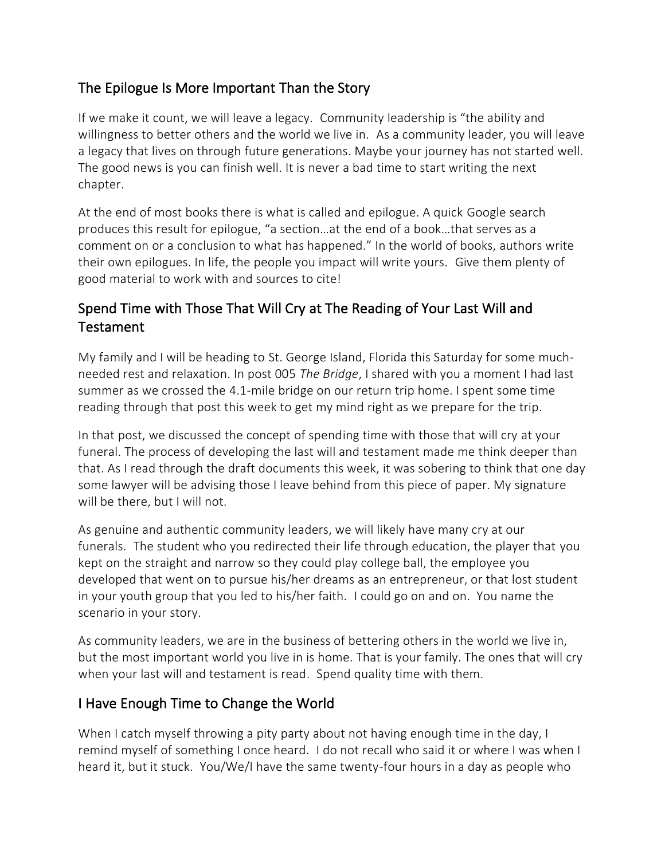### The Epilogue Is More Important Than the Story

If we make it count, we will leave a legacy. Community leadership is "the ability and willingness to better others and the world we live in. As a community leader, you will leave a legacy that lives on through future generations. Maybe your journey has not started well. The good news is you can finish well. It is never a bad time to start writing the next chapter.

At the end of most books there is what is called and epilogue. A quick [Google search](https://www.google.com/) produces this result for epilogue, "a section…at the end of a book…that serves as a comment on or a conclusion to what has happened." In the world of books, authors write their own epilogues. In life, the people you impact will write yours. Give them plenty of good material to work with and sources to cite!

## Spend Time with Those That Will Cry at The Reading of Your Last Will and Testament

My family and I will be heading to [St. George Island, Florida](https://www.floridasforgottencoast.com/st-george-island/) this Saturday for some muchneeded rest and relaxation. In post 005 *[The Bridge](https://leadershipandmain.org/the-bridge/)*, I shared with you a moment I had last summer as we crossed the 4.1-mile bridge on our return trip home. I spent some time reading through that post this week to get my mind right as we prepare for the trip.

In that post, we discussed the concept of spending time with those that will cry at your funeral. The process of developing the last will and testament made me think deeper than that. As I read through the draft documents this week, it was sobering to think that one day some lawyer will be advising those I leave behind from this piece of paper. My signature will be there, but I will not.

As genuine and authentic community leaders, we will likely have many cry at our funerals. The student who you redirected their life through education, the player that you kept on the straight and narrow so they could play college ball, the employee you developed that went on to pursue his/her dreams as an entrepreneur, or that lost student in your youth group that you led to his/her faith. I could go on and on. You name the scenario in your story.

As community leaders, we are in the business of bettering others in the world we live in, but the most important world you live in is home. That is your family. The ones that will cry when your last will and testament is read. Spend quality time with them.

#### I Have Enough Time to Change the World

When I catch myself throwing a pity party about not having enough time in the day, I remind myself of something I once heard. I do not recall who said it or where I was when I heard it, but it stuck. You/We/I have the same twenty-four hours in a day as people who